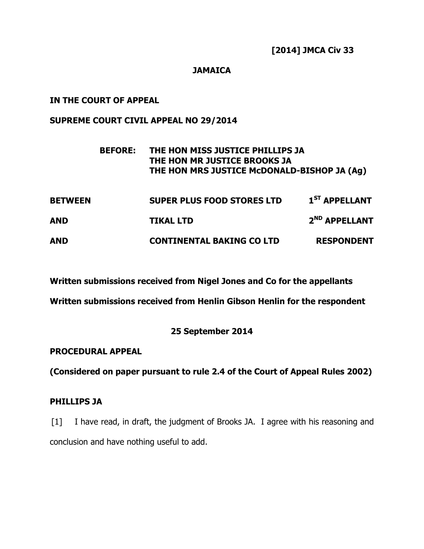#### **JAMAICA**

## **IN THE COURT OF APPEAL**

## **SUPREME COURT CIVIL APPEAL NO 29/2014**

|                | <b>BEFORE:</b> | THE HON MISS JUSTICE PHILLIPS JA<br>THE HON MR JUSTICE BROOKS JA<br>THE HON MRS JUSTICE McDONALD-BISHOP JA (Ag) |                           |
|----------------|----------------|-----------------------------------------------------------------------------------------------------------------|---------------------------|
| <b>BETWEEN</b> |                | <b>SUPER PLUS FOOD STORES LTD</b>                                                                               | $1ST$ APPELLANT           |
| <b>AND</b>     |                | <b>TIKAL LTD</b>                                                                                                | 2 <sup>ND</sup> APPELLANT |
| <b>AND</b>     |                | <b>CONTINENTAL BAKING CO LTD</b>                                                                                | <b>RESPONDENT</b>         |

**Written submissions received from Nigel Jones and Co for the appellants** 

**Written submissions received from Henlin Gibson Henlin for the respondent** 

## **25 September 2014**

## **PROCEDURAL APPEAL**

**(Considered on paper pursuant to rule 2.4 of the Court of Appeal Rules 2002)** 

## **PHILLIPS JA**

[1] I have read, in draft, the judgment of Brooks JA. I agree with his reasoning and conclusion and have nothing useful to add.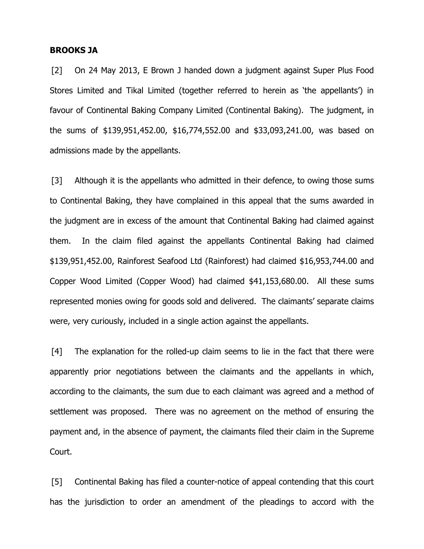#### **BROOKS JA**

[2] On 24 May 2013, E Brown J handed down a judgment against Super Plus Food Stores Limited and Tikal Limited (together referred to herein as 'the appellants') in favour of Continental Baking Company Limited (Continental Baking). The judgment, in the sums of \$139,951,452.00, \$16,774,552.00 and \$33,093,241.00, was based on admissions made by the appellants.

[3] Although it is the appellants who admitted in their defence, to owing those sums to Continental Baking, they have complained in this appeal that the sums awarded in the judgment are in excess of the amount that Continental Baking had claimed against them. In the claim filed against the appellants Continental Baking had claimed \$139,951,452.00, Rainforest Seafood Ltd (Rainforest) had claimed \$16,953,744.00 and Copper Wood Limited (Copper Wood) had claimed \$41,153,680.00. All these sums represented monies owing for goods sold and delivered. The claimants' separate claims were, very curiously, included in a single action against the appellants.

[4] The explanation for the rolled-up claim seems to lie in the fact that there were apparently prior negotiations between the claimants and the appellants in which, according to the claimants, the sum due to each claimant was agreed and a method of settlement was proposed. There was no agreement on the method of ensuring the payment and, in the absence of payment, the claimants filed their claim in the Supreme Court.

[5] Continental Baking has filed a counter-notice of appeal contending that this court has the jurisdiction to order an amendment of the pleadings to accord with the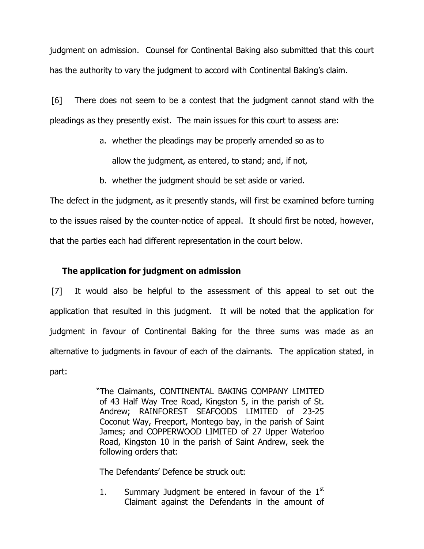judgment on admission. Counsel for Continental Baking also submitted that this court has the authority to vary the judgment to accord with Continental Baking's claim.

[6] There does not seem to be a contest that the judgment cannot stand with the pleadings as they presently exist. The main issues for this court to assess are:

- a. whether the pleadings may be properly amended so as to allow the judgment, as entered, to stand; and, if not,
- b. whether the judgment should be set aside or varied.

The defect in the judgment, as it presently stands, will first be examined before turning to the issues raised by the counter-notice of appeal. It should first be noted, however, that the parties each had different representation in the court below.

## **The application for judgment on admission**

[7] It would also be helpful to the assessment of this appeal to set out the application that resulted in this judgment. It will be noted that the application for judgment in favour of Continental Baking for the three sums was made as an alternative to judgments in favour of each of the claimants. The application stated, in part:

> "The Claimants, CONTINENTAL BAKING COMPANY LIMITED of 43 Half Way Tree Road, Kingston 5, in the parish of St. Andrew; RAINFOREST SEAFOODS LIMITED of 23-25 Coconut Way, Freeport, Montego bay, in the parish of Saint James; and COPPERWOOD LIMITED of 27 Upper Waterloo Road, Kingston 10 in the parish of Saint Andrew, seek the following orders that:

The Defendants' Defence be struck out:

1. Summary Judgment be entered in favour of the  $1<sup>st</sup>$ Claimant against the Defendants in the amount of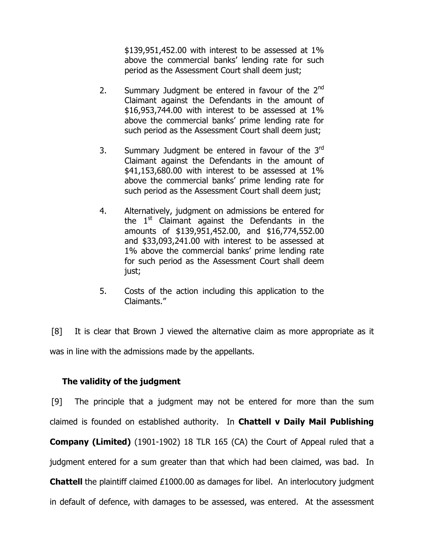\$139,951,452.00 with interest to be assessed at 1% above the commercial banks' lending rate for such period as the Assessment Court shall deem just;

- 2. Summary Judgment be entered in favour of the  $2^{nd}$ Claimant against the Defendants in the amount of \$16,953,744.00 with interest to be assessed at 1% above the commercial banks' prime lending rate for such period as the Assessment Court shall deem just;
- 3. Summary Judgment be entered in favour of the 3<sup>rd</sup> Claimant against the Defendants in the amount of \$41,153,680.00 with interest to be assessed at 1% above the commercial banks' prime lending rate for such period as the Assessment Court shall deem just;
- 4. Alternatively, judgment on admissions be entered for the  $1<sup>st</sup>$  Claimant against the Defendants in the amounts of \$139,951,452.00, and \$16,774,552.00 and \$33,093,241.00 with interest to be assessed at 1% above the commercial banks' prime lending rate for such period as the Assessment Court shall deem just;
- 5. Costs of the action including this application to the Claimants."

[8] It is clear that Brown J viewed the alternative claim as more appropriate as it was in line with the admissions made by the appellants.

## **The validity of the judgment**

[9] The principle that a judgment may not be entered for more than the sum claimed is founded on established authority. In **Chattell v Daily Mail Publishing Company (Limited)** (1901-1902) 18 TLR 165 (CA) the Court of Appeal ruled that a judgment entered for a sum greater than that which had been claimed, was bad. In **Chattell** the plaintiff claimed £1000.00 as damages for libel. An interlocutory judgment in default of defence, with damages to be assessed, was entered. At the assessment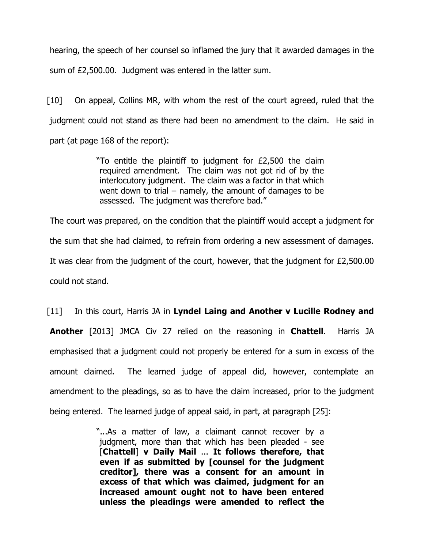hearing, the speech of her counsel so inflamed the jury that it awarded damages in the sum of £2,500.00. Judgment was entered in the latter sum.

[10] On appeal, Collins MR, with whom the rest of the court agreed, ruled that the judgment could not stand as there had been no amendment to the claim. He said in part (at page 168 of the report):

> "To entitle the plaintiff to judgment for £2,500 the claim required amendment. The claim was not got rid of by the interlocutory judgment. The claim was a factor in that which went down to trial – namely, the amount of damages to be assessed. The judgment was therefore bad."

The court was prepared, on the condition that the plaintiff would accept a judgment for the sum that she had claimed, to refrain from ordering a new assessment of damages. It was clear from the judgment of the court, however, that the judgment for £2,500.00 could not stand.

# [11] In this court, Harris JA in **Lyndel Laing and Another v Lucille Rodney and Another** [2013] JMCA Civ 27 relied on the reasoning in **Chattell**. Harris JA emphasised that a judgment could not properly be entered for a sum in excess of the amount claimed. The learned judge of appeal did, however, contemplate an amendment to the pleadings, so as to have the claim increased, prior to the judgment being entered. The learned judge of appeal said, in part, at paragraph [25]:

"...As a matter of law, a claimant cannot recover by a judgment, more than that which has been pleaded - see [**Chattell**] **v Daily Mail** ... **It follows therefore, that even if as submitted by [counsel for the judgment creditor], there was a consent for an amount in excess of that which was claimed, judgment for an increased amount ought not to have been entered unless the pleadings were amended to reflect the**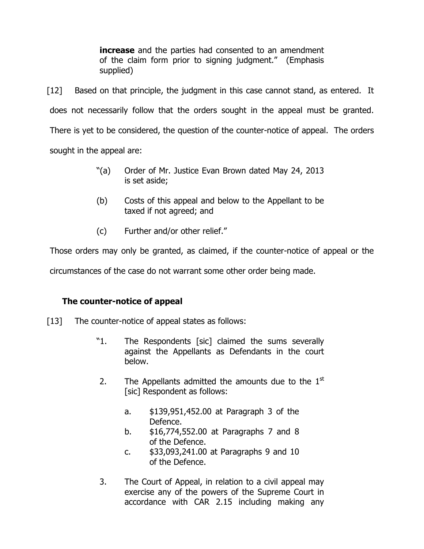**increase** and the parties had consented to an amendment of the claim form prior to signing judgment." (Emphasis supplied)

[12] Based on that principle, the judgment in this case cannot stand, as entered. It does not necessarily follow that the orders sought in the appeal must be granted. There is yet to be considered, the question of the counter-notice of appeal. The orders sought in the appeal are:

- "(a) Order of Mr. Justice Evan Brown dated May 24, 2013 is set aside;
- (b) Costs of this appeal and below to the Appellant to be taxed if not agreed; and
- (c) Further and/or other relief."

Those orders may only be granted, as claimed, if the counter-notice of appeal or the

circumstances of the case do not warrant some other order being made.

# **The counter-notice of appeal**

- [13] The counter-notice of appeal states as follows:
	- "1. The Respondents [sic] claimed the sums severally against the Appellants as Defendants in the court below.
	- 2. The Appellants admitted the amounts due to the  $1<sup>st</sup>$ [sic] Respondent as follows:
		- a. \$139,951,452.00 at Paragraph 3 of the Defence.
		- b. \$16,774,552.00 at Paragraphs 7 and 8 of the Defence.
		- c. \$33,093,241.00 at Paragraphs 9 and 10 of the Defence.
	- 3. The Court of Appeal, in relation to a civil appeal may exercise any of the powers of the Supreme Court in accordance with CAR 2.15 including making any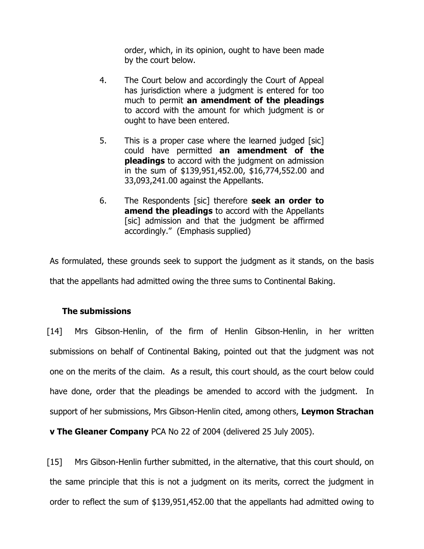order, which, in its opinion, ought to have been made by the court below.

- 4. The Court below and accordingly the Court of Appeal has jurisdiction where a judgment is entered for too much to permit **an amendment of the pleadings** to accord with the amount for which judgment is or ought to have been entered.
- 5. This is a proper case where the learned judged [sic] could have permitted **an amendment of the pleadings** to accord with the judgment on admission in the sum of \$139,951,452.00, \$16,774,552.00 and 33,093,241.00 against the Appellants.
- 6. The Respondents [sic] therefore **seek an order to amend the pleadings** to accord with the Appellants [sic] admission and that the judgment be affirmed accordingly." (Emphasis supplied)

As formulated, these grounds seek to support the judgment as it stands, on the basis that the appellants had admitted owing the three sums to Continental Baking.

## **The submissions**

[14] Mrs Gibson-Henlin, of the firm of Henlin Gibson-Henlin, in her written submissions on behalf of Continental Baking, pointed out that the judgment was not one on the merits of the claim. As a result, this court should, as the court below could have done, order that the pleadings be amended to accord with the judgment. In support of her submissions, Mrs Gibson-Henlin cited, among others, **Leymon Strachan** 

**v The Gleaner Company** PCA No 22 of 2004 (delivered 25 July 2005).

[15] Mrs Gibson-Henlin further submitted, in the alternative, that this court should, on the same principle that this is not a judgment on its merits, correct the judgment in order to reflect the sum of \$139,951,452.00 that the appellants had admitted owing to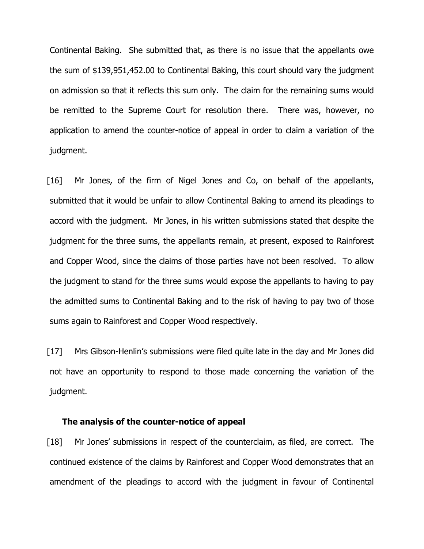Continental Baking. She submitted that, as there is no issue that the appellants owe the sum of \$139,951,452.00 to Continental Baking, this court should vary the judgment on admission so that it reflects this sum only. The claim for the remaining sums would be remitted to the Supreme Court for resolution there. There was, however, no application to amend the counter-notice of appeal in order to claim a variation of the judgment.

[16] Mr Jones, of the firm of Nigel Jones and Co, on behalf of the appellants, submitted that it would be unfair to allow Continental Baking to amend its pleadings to accord with the judgment. Mr Jones, in his written submissions stated that despite the judgment for the three sums, the appellants remain, at present, exposed to Rainforest and Copper Wood, since the claims of those parties have not been resolved. To allow the judgment to stand for the three sums would expose the appellants to having to pay the admitted sums to Continental Baking and to the risk of having to pay two of those sums again to Rainforest and Copper Wood respectively.

[17] Mrs Gibson-Henlin's submissions were filed quite late in the day and Mr Jones did not have an opportunity to respond to those made concerning the variation of the judgment.

#### **The analysis of the counter-notice of appeal**

[18] Mr Jones' submissions in respect of the counterclaim, as filed, are correct. The continued existence of the claims by Rainforest and Copper Wood demonstrates that an amendment of the pleadings to accord with the judgment in favour of Continental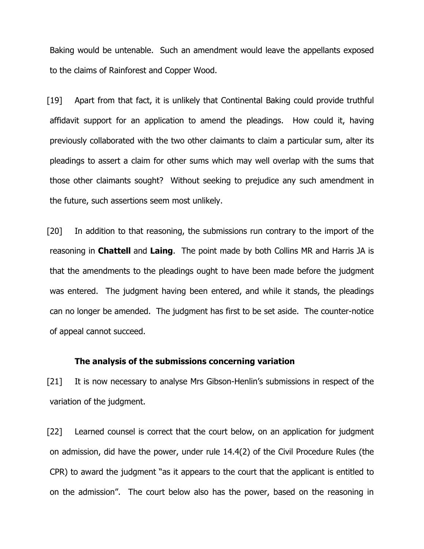Baking would be untenable. Such an amendment would leave the appellants exposed to the claims of Rainforest and Copper Wood.

[19] Apart from that fact, it is unlikely that Continental Baking could provide truthful affidavit support for an application to amend the pleadings. How could it, having previously collaborated with the two other claimants to claim a particular sum, alter its pleadings to assert a claim for other sums which may well overlap with the sums that those other claimants sought? Without seeking to prejudice any such amendment in the future, such assertions seem most unlikely.

[20] In addition to that reasoning, the submissions run contrary to the import of the reasoning in **Chattell** and **Laing**. The point made by both Collins MR and Harris JA is that the amendments to the pleadings ought to have been made before the judgment was entered. The judgment having been entered, and while it stands, the pleadings can no longer be amended. The judgment has first to be set aside. The counter-notice of appeal cannot succeed.

#### **The analysis of the submissions concerning variation**

[21] It is now necessary to analyse Mrs Gibson-Henlin's submissions in respect of the variation of the judgment.

[22] Learned counsel is correct that the court below, on an application for judgment on admission, did have the power, under rule 14.4(2) of the Civil Procedure Rules (the CPR) to award the judgment "as it appears to the court that the applicant is entitled to on the admission". The court below also has the power, based on the reasoning in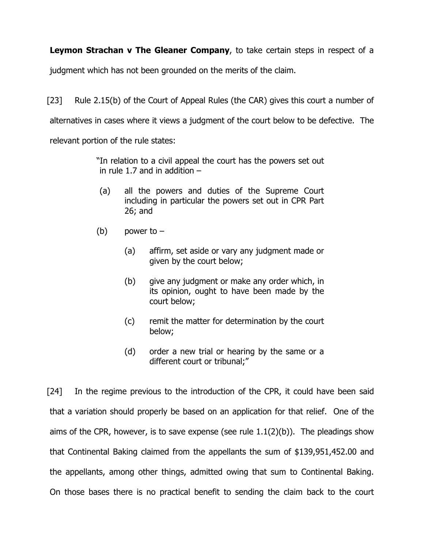**Leymon Strachan v The Gleaner Company**, to take certain steps in respect of a

judgment which has not been grounded on the merits of the claim.

[23] Rule 2.15(b) of the Court of Appeal Rules (the CAR) gives this court a number of alternatives in cases where it views a judgment of the court below to be defective. The relevant portion of the rule states:

> "In relation to a civil appeal the court has the powers set out in rule 1.7 and in addition  $-$

- (a) all the powers and duties of the Supreme Court including in particular the powers set out in CPR Part 26; and
- (b) power to  $-$ 
	- (a) affirm, set aside or vary any judgment made or given by the court below;
	- (b) give any judgment or make any order which, in its opinion, ought to have been made by the court below;
	- (c) remit the matter for determination by the court below;
	- (d) order a new trial or hearing by the same or a different court or tribunal;"

[24] In the regime previous to the introduction of the CPR, it could have been said that a variation should properly be based on an application for that relief. One of the aims of the CPR, however, is to save expense (see rule  $1.1(2)(b)$ ). The pleadings show that Continental Baking claimed from the appellants the sum of \$139,951,452.00 and the appellants, among other things, admitted owing that sum to Continental Baking. On those bases there is no practical benefit to sending the claim back to the court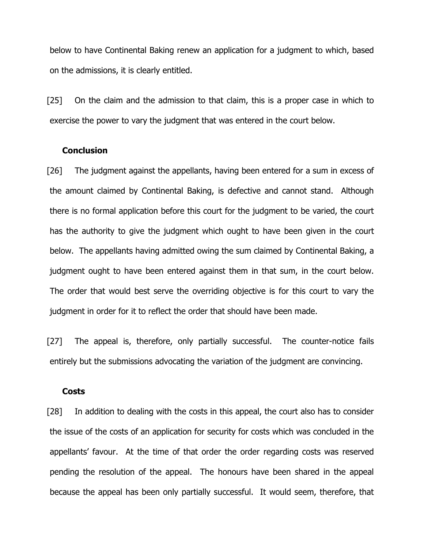below to have Continental Baking renew an application for a judgment to which, based on the admissions, it is clearly entitled.

[25] On the claim and the admission to that claim, this is a proper case in which to exercise the power to vary the judgment that was entered in the court below.

#### **Conclusion**

[26] The judgment against the appellants, having been entered for a sum in excess of the amount claimed by Continental Baking, is defective and cannot stand. Although there is no formal application before this court for the judgment to be varied, the court has the authority to give the judgment which ought to have been given in the court below. The appellants having admitted owing the sum claimed by Continental Baking, a judgment ought to have been entered against them in that sum, in the court below. The order that would best serve the overriding objective is for this court to vary the judgment in order for it to reflect the order that should have been made.

[27] The appeal is, therefore, only partially successful. The counter-notice fails entirely but the submissions advocating the variation of the judgment are convincing.

#### **Costs**

[28] In addition to dealing with the costs in this appeal, the court also has to consider the issue of the costs of an application for security for costs which was concluded in the appellants' favour. At the time of that order the order regarding costs was reserved pending the resolution of the appeal. The honours have been shared in the appeal because the appeal has been only partially successful. It would seem, therefore, that